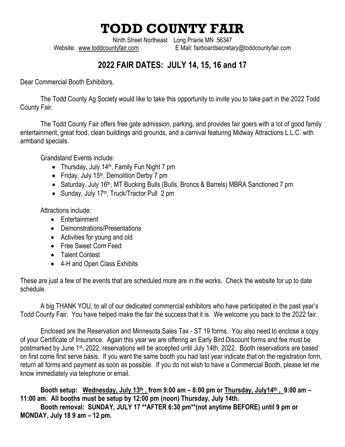## **TODD COUNTY FAIR**

Ninth Street Northeast Long Prairie MN 56347 Website: [www.toddcountyfair.com](http://www.toddcountyfair.com/) E Mail: fairboardsecretary@toddcountyfair.com

## **2022 FAIR DATES: JULY 14, 15, 16 and 17**

Dear Commercial Booth Exhibitors,

The Todd County Ag Society would like to take this opportunity to invite you to take part in the 2022 Todd County Fair.

The Todd County Fair offers free gate admission, parking, and provides fair goers with a lot of good family entertainment, great food, clean buildings and grounds, and a carnival featuring Midway Attractions L.L.C. with armband specials.

Grandstand Events include:

- Thursday, July 14<sup>th</sup>, Family Fun Night 7 pm
- Friday, July 15<sup>th</sup>, Demolition Derby 7 pm
- Saturday, July 16<sup>th</sup>, MT Bucking Bulls (Bulls, Broncs & Barrels) MBRA Sanctioned 7 pm
- Sunday, July 17<sup>th</sup>, Truck/Tractor Pull 2 pm

Attractions include:

- Entertainment
- Demonstrations/Presentations
- Activities for young and old
- Free Sweet Corn Feed
- Talent Contest
- 4-H and Open Class Exhibits

These are just a few of the events that are scheduled more are in the works. Check the website for up to date schedule.

A big THANK YOU, to all of our dedicated commercial exhibitors who have participated in the past year's Todd County Fair. You have helped make the fair the success that it is. We welcome you back to the 2022 fair.

Enclosed are the Reservation and Minnesota Sales Tax - ST 19 forms. You also need to enclose a copy of your Certificate of Insurance. Again this year we are offering an Early Bird Discount forms and fee must be postmarked by June 1st, 2022, reservations will be accepted until July 14th, 2022. Booth reservations are based on first come first serve basis. If you want the same booth you had last year indicate that on the registration form, return all forms and payment as soon as possible. If you do not wish to have a Commercial Booth, please let me know immediately via telephone or email.

**Booth setup: Wednesday, July 13 th , from 9:00 am – 8:00 pm or Thursday, July14 th , 9:00 am – 11:00 am. All booths must be setup by 12:00 pm (noon) Thursday, July 14th. Booth removal: SUNDAY, JULY 17 \*\*AFTER 6:30 pm\*\*(not anytime BEFORE) until 9 pm or MONDAY, July 18 9 am – 12 pm.**